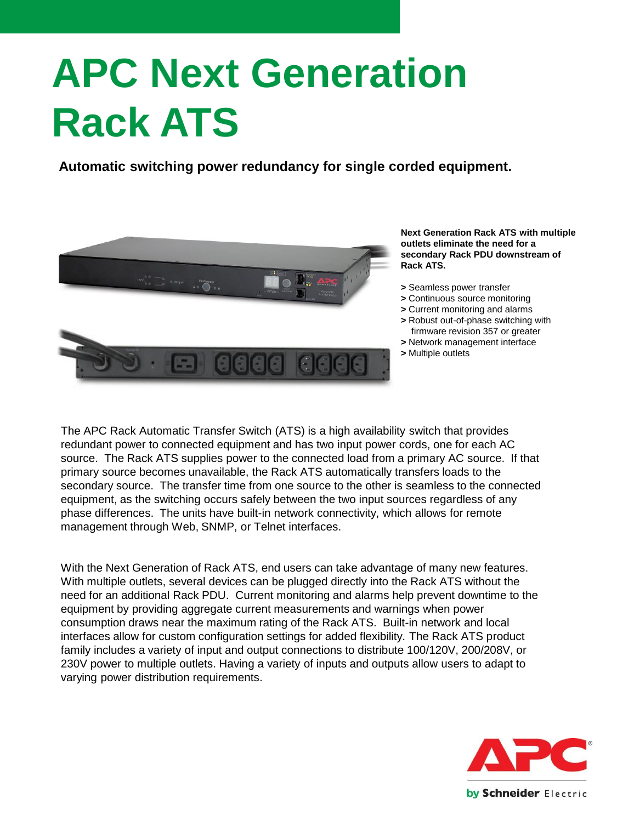# **APC Next Generation Rack ATS**

**Automatic switching power redundancy for single corded equipment.**



**Next Generation Rack ATS with multiple outlets eliminate the need for a secondary Rack PDU downstream of Rack ATS.**

- **>** Seamless power transfer
- **>** Continuous source monitoring
- **>** Current monitoring and alarms
- **>** Robust out-of-phase switching with firmware revision 357 or greater
- **>** Network management interface
- **>** Multiple outlets

The APC Rack Automatic Transfer Switch (ATS) is a high availability switch that provides redundant power to connected equipment and has two input power cords, one for each AC source. The Rack ATS supplies power to the connected load from a primary AC source. If that primary source becomes unavailable, the Rack ATS automatically transfers loads to the secondary source. The transfer time from one source to the other is seamless to the connected equipment, as the switching occurs safely between the two input sources regardless of any phase differences. The units have built-in network connectivity, which allows for remote management through Web, SNMP, or Telnet interfaces.

With the Next Generation of Rack ATS, end users can take advantage of many new features. With multiple outlets, several devices can be plugged directly into the Rack ATS without the need for an additional Rack PDU. Current monitoring and alarms help prevent downtime to the equipment by providing aggregate current measurements and warnings when power consumption draws near the maximum rating of the Rack ATS. Built-in network and local interfaces allow for custom configuration settings for added flexibility. The Rack ATS product family includes a variety of input and output connections to distribute 100/120V, 200/208V, or 230V power to multiple outlets. Having a variety of inputs and outputs allow users to adapt to varying power distribution requirements.

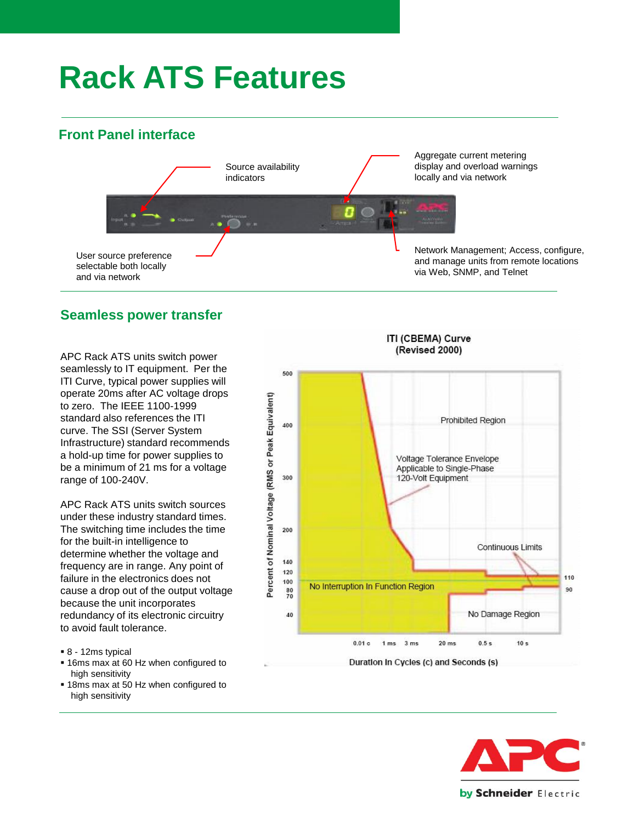## **Rack ATS Features**

#### **Front Panel interface**



#### **Seamless power transfer**

APC Rack ATS units switch power seamlessly to IT equipment. Per the ITI Curve, typical power supplies will operate 20ms after AC voltage drops to zero. The IEEE 1100-1999 standard also references the ITI curve. The SSI (Server System Infrastructure) standard recommends a hold-up time for power supplies to be a minimum of 21 ms for a voltage range of 100-240V.

APC Rack ATS units switch sources under these industry standard times. The switching time includes the time for the built-in intelligence to determine whether the voltage and frequency are in range. Any point of failure in the electronics does not cause a drop out of the output voltage because the unit incorporates redundancy of its electronic circuitry to avoid fault tolerance.

- 8 12ms typical
- 16ms max at 60 Hz when configured to high sensitivity
- **18ms max at 50 Hz when configured to** high sensitivity



#### Duration in Cycles (c) and Seconds (s)

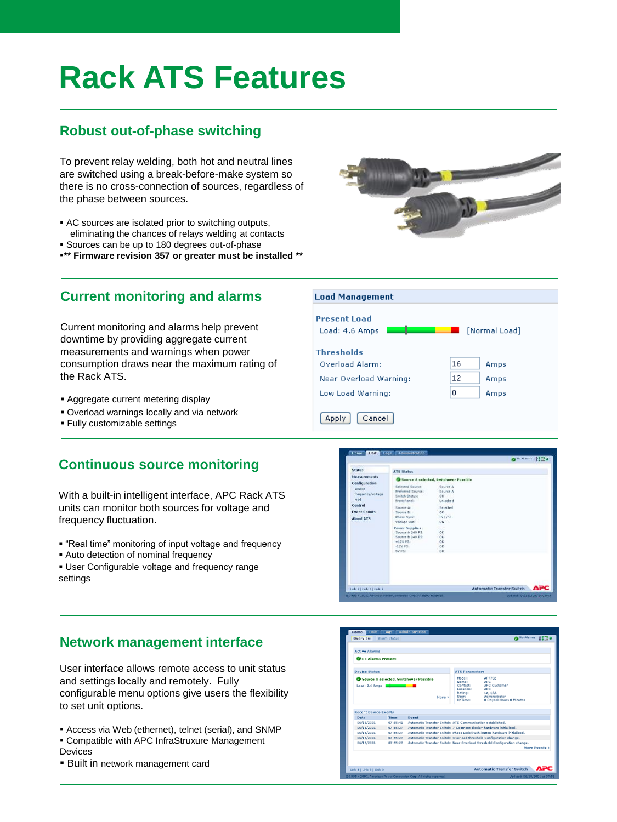### **Rack ATS Features**

#### **Robust out-of-phase switching**

To prevent relay welding, both hot and neutral lines are switched using a break-before-make system so there is no cross-connection of sources, regardless of the phase between sources.

- AC sources are isolated prior to switching outputs, eliminating the chances of relays welding at contacts
- **Sources can be up to 180 degrees out-of-phase**
- **\*\* Firmware revision 357 or greater must be installed \*\***



Normal Load]

Amps

Amps

Amps

16

 $12$ 

n

OK<br>Uniscked

#### **Current monitoring and alarms**

Current monitoring and alarms help prevent downtime by providing aggregate current measurements and warnings when power consumption draws near the maximum rating of the Rack ATS.

- **Aggregate current metering display**
- Overload warnings locally and via network
- Fully customizable settings

### **Continuous source monitoring**

With a built-in intelligent interface, APC Rack ATS units can monitor both sources for voltage and frequency fluctuation.

- "Real time" monitoring of input voltage and frequency
- Auto detection of nominal frequency
- User Configurable voltage and frequency range settings

**ATS Status** 

Selected Squrce iferred Soul<br>itch Status:<br>int Panel:

Source A selected,

**Load Management** 

Near Overload Warning:

Cancel

Low Load Warning:

State

teasure

Control **Event Count About ATS** 

Configuration

**Present Load** Load: 4.6 Amps |

**Thresholds** Overload Alarm:

Apply

#### **Network management interface**

User interface allows remote access to unit status and settings locally and remotely. Fully configurable menu options give users the flexibility to set unit options.

- Access via Web (ethernet), telnet (serial), and SNMP
- Compatible with APC InfraStruxure Management Devices
- Built in network management card